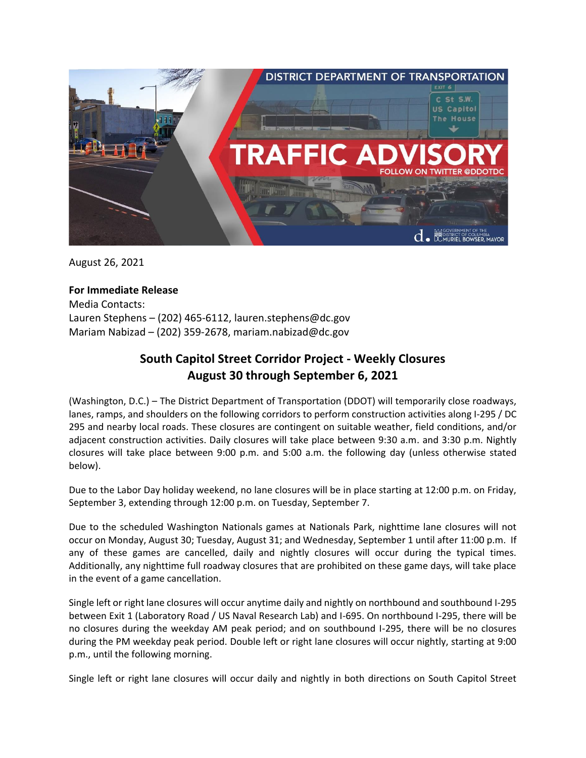

August 26, 2021

## **For Immediate Release**

Media Contacts: Lauren Stephens – (202) 465-6112, lauren.stephens@dc.gov Mariam Nabizad – (202) 359-2678, mariam.nabizad@dc.gov

## **South Capitol Street Corridor Project - Weekly Closures August 30 through September 6, 2021**

(Washington, D.C.) – The District Department of Transportation (DDOT) will temporarily close roadways, lanes, ramps, and shoulders on the following corridors to perform construction activities along I-295 / DC 295 and nearby local roads. These closures are contingent on suitable weather, field conditions, and/or adjacent construction activities. Daily closures will take place between 9:30 a.m. and 3:30 p.m. Nightly closures will take place between 9:00 p.m. and 5:00 a.m. the following day (unless otherwise stated below).

Due to the Labor Day holiday weekend, no lane closures will be in place starting at 12:00 p.m. on Friday, September 3, extending through 12:00 p.m. on Tuesday, September 7.

Due to the scheduled Washington Nationals games at Nationals Park, nighttime lane closures will not occur on Monday, August 30; Tuesday, August 31; and Wednesday, September 1 until after 11:00 p.m. If any of these games are cancelled, daily and nightly closures will occur during the typical times. Additionally, any nighttime full roadway closures that are prohibited on these game days, will take place in the event of a game cancellation.

Single left or right lane closures will occur anytime daily and nightly on northbound and southbound I-295 between Exit 1 (Laboratory Road / US Naval Research Lab) and I-695. On northbound I-295, there will be no closures during the weekday AM peak period; and on southbound I-295, there will be no closures during the PM weekday peak period. Double left or right lane closures will occur nightly, starting at 9:00 p.m., until the following morning.

Single left or right lane closures will occur daily and nightly in both directions on South Capitol Street